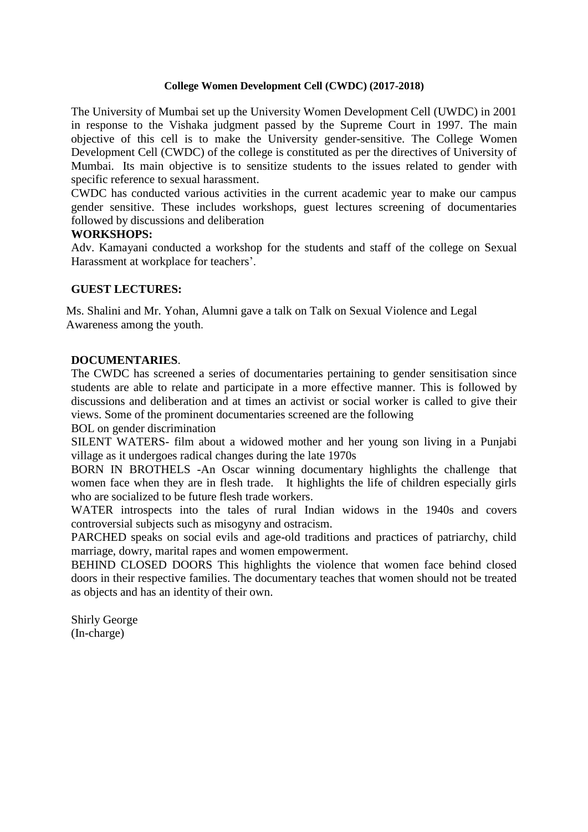## **College Women Development Cell (CWDC) (2017-2018)**

The University of Mumbai set up the University Women Development Cell (UWDC) in 2001 in response to the Vishaka judgment passed by the Supreme Court in 1997. The main objective of this cell is to make the University gender-sensitive. The College Women Development Cell (CWDC) of the college is constituted as per the directives of University of Mumbai. Its main objective is to sensitize students to the issues related to gender with specific reference to sexual harassment.

CWDC has conducted various activities in the current academic year to make our campus gender sensitive. These includes workshops, guest lectures screening of documentaries followed by discussions and deliberation

## **WORKSHOPS:**

Adv. Kamayani conducted a workshop for the students and staff of the college on Sexual Harassment at workplace for teachers'.

## **GUEST LECTURES:**

Ms. Shalini and Mr. Yohan, Alumni gave a talk on Talk on Sexual Violence and Legal Awareness among the youth.

## **DOCUMENTARIES**.

The CWDC has screened a series of documentaries pertaining to gender sensitisation since students are able to relate and participate in a more effective manner. This is followed by discussions and deliberation and at times an activist or social worker is called to give their views. Some of the prominent documentaries screened are the following

BOL on gender discrimination

SILENT WATERS- film about a widowed mother and her young son living in a Punjabi village as it undergoes radical changes during the late 1970s

BORN IN BROTHELS -An Oscar winning documentary highlights the challenge that women face when they are in flesh trade. It highlights the life of children especially girls who are socialized to be future flesh trade workers.

WATER introspects into the tales of rural Indian widows in the 1940s and covers controversial subjects such as misogyny and ostracism.

PARCHED speaks on social evils and age-old traditions and practices of patriarchy, child marriage, dowry, marital rapes and women empowerment.

BEHIND CLOSED DOORS This highlights the violence that women face behind closed doors in their respective families. The documentary teaches that women should not be treated as objects and has an identity of their own.

Shirly George (In-charge)